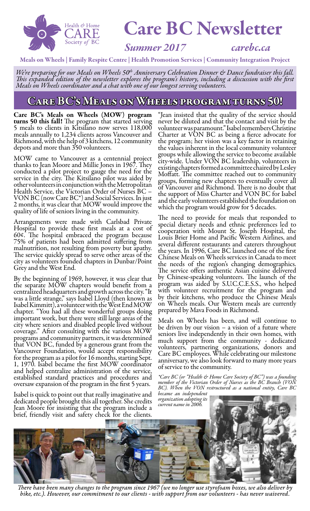

# Care BC Newsletter

### *Summer 2017 carebc.ca*

Meals on Wheels | Family Respite Centre | Health Promotion Services | Community Integration Project

We're preparing for our Meals on Wheels 50<sup>th</sup> Anniversary Celebration Dinner & Dance fundraiser this fall.<br>This expanded edition of the newsletter explores the program's history, including a discussion with the first *Meals on Wheels coordinator and a chat with one of our longest serving volunteers.*

### Care BC's Meals on Wheels program turns 50!

Care BC's Meals on Wheels (MOW) program turns 50 this fall! The program that started serving 5 meals to clients in Kitsilano now serves 118,000 meals annually to 1,234 clients across Vancouver and Richmond, with the help of 3 kitchens, 12 community depots and more than 350 volunteers.

MOW came to Vancouver as a centennial project thanks to Jean Moore and Millie Jones in 1967. They conducted a pilot project to gauge the need for the service in the city. The Kitsilano pilot was aided by other volunteers in conjunction with the Metropolitan Health Service, the Victorian Order of Nurses BC – VON BC (now Care BC\*) and Social Services. In just 2 months, it was clear that MOW would improve the quality of life of seniors living in the community.

Arrangements were made with Carlsbad Private Hospital to provide these first meals at a cost of 60¢. The hospital embraced the program because 75% of patients had been admitted suffering from malnutrition, not resulting from poverty but apathy. The service quickly spread to serve other areas of the city as volunteers founded chapters in Dunbar/Point Grey and the West End.

By the beginning of 1969, however, it was clear that the separate MOW chapters would benefit from a centralized headquarters and growth across the city. "It was a little strange," says Isabel Lloyd (then known as Isabel Kimmitt), a volunteer with the West End MOW chapter. "You had all these wonderful groups doing important work, but there were still large areas of the city where seniors and disabled people lived without coverage." After consulting with the various MOW programs and community partners, it was determined that VON BC, funded by a generous grant from the Vancouver Foundation, would accept responsibility for the program as a pilot for 16 months, starting Sept. 1, 1970. Isabel became the first MOW coordinator and helped centralize administration of the service, established standard practices and procedures and oversaw expansion of the program in the first 5 years.

Isabel is quick to point out that really imaginative and dedicated people brought this all together. She credits Jean Moore for insisting that the program include a

"Jean insisted that the quality of the service should never be diluted and that the contact and visit by the volunteer was paramount." Isabel remembers Christine Charter at VON BC as being a fierce advocate for the program; her vision was a key factor in retaining the values inherent in the local community volunteer groups while allowing the service to become available city-wide. Under VON BC leadership, volunteers in existing chapters formed a committee chaired by Lesley Moffatt. The committee reached out to community groups, forming new chapters to eventually cover all of Vancouver and Richmond. There is no doubt that the support of Miss Charter and VON BC for Isabel and the early volunteers established the foundation on which the program would grow for 5 decades.

The need to provide for meals that responded to special dietary needs and ethnic preferences led to cooperation with Mount St. Joseph Hospital, the Louis Brier Home and Pacific Western Airlines, and several different restaurants and caterers throughout the years. In 1996, Care BC launched one of the first Chinese Meals on Wheels services in Canada to meet the needs of the region's changing demographics. The service offers authentic Asian cuisine delivered by Chinese-speaking volunteers. The launch of the program was aided by S.U.C.C.E.S.S., who helped with volunteer recruitment for the program and by their kitchens, who produce the Chinese Meals on Wheels meals. Our Western meals are currently prepared by Mava Foods in Richmond.

Meals on Wheels has been, and will continue to be driven by our vision – a vision of a future where seniors live independently in their own homes, with much support from the community - dedicated volunteers, partnering organizations, donors and Care BC employees. While celebrating our milestone anniversary, we also look forward to many more years of service to the community.

*\*Care BC (or "Health & Home Care Society of BC") was a founding member of the Victorian Order of Nurses as the BC Branch (VON BC). When the VON restructured as a national entity, Care BC* 

*became an independent organization adopting its current name in 2006.*



*There have been many changes to the program since 1967 (we no longer use styrofoam boxes, we also deliver by bike, etc.). However, our commitment to our clients - with support from our volunteers - has never waivered.*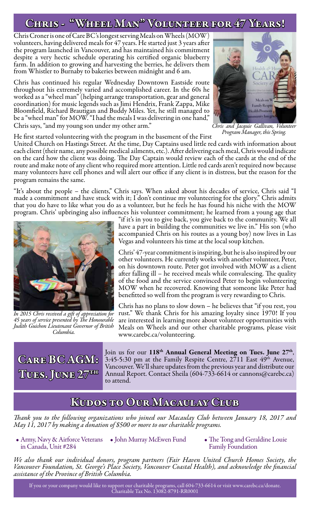## CHRIS - "WHEEL MAN" VOLUNTEER FOR 47 YEARS!

Chris Croner is one of Care BC's longest serving Meals on Wheels (MOW) volunteers, having delivered meals for 47 years. He started just 3 years after the program launched in Vancouver, and has maintained his commitment despite a very hectic schedule operating his certified organic blueberry farm. In addition to growing and harvesting the berries, he delivers them from Whistler to Burnaby to bakeries between midnight and 6 am.

Chris has continued his regular Wednesday Downtown Eastside route throughout his extremely varied and accomplished career. In the 60s he worked as a "wheel man" (helping arrange transportation, gear and general coordination) for music legends such as Jimi Hendrix, Frank Zappa, Mike Bloomfield, Richard Brautigan and Buddy Miles. Yet, he still managed to be a "wheel man" for MOW. "I had the meals I was delivering in one hand," Chris says, "and my young son under my other arm."



*Chris and Jacquie Gallivan, Volunteer Program Manager, this Spring.*

He first started volunteering with the program in the basement of the First

United Church on Hastings Street. At the time, Day Captains used little red cards with information about each client (their name, any possible medical ailments, etc.). After delivering each meal, Chris would indicate on the card how the client was doing. The Day Captain would review each of the cards at the end of the route and make note of any client who required more attention. Little red cards aren't required now because many volunteers have cell phones and will alert our office if any client is in distress, but the reason for the program remains the same.

"It's about the people – the clients," Chris says. When asked about his decades of service, Chris said "I made a commitment and have stuck with it; I don't continue my volunteering for the glory." Chris admits that you do have to like what you do as a volunteer, but he feels he has found his niche with the MOW program. Chris' upbringing also influences his volunteer commitment; he learned from a young age that



*In 2015 Chris received a gift of appreciation for 45 years of service presented by The Honourable Judith Guichon Lieutenant Governor of British Columbia.*

"if it's in you to give back, you give back to the community. We all have a part in building the communities we live in." His son (who accompanied Chris on his routes as a young boy) now lives in Las Vegas and volunteers his time at the local soup kitchen.

Chris' 47-year commitment is inspiring, but he is also inspired by our other volunteers. He currently works with another volunteer, Peter, on his downtown route. Peter got involved with MOW as a client after falling ill – he received meals while convalescing. The quality of the food and the service convinced Peter to begin volunteering MOW when he recovered. Knowing that someone like Peter had benefitted so well from the program is very rewarding to Chris.

Chris has no plans to slow down – he believes that "if you rest, you rust." We thank Chris for his amazing loyalty since 1970! If you are interested in learning more about volunteer opportunities with Meals on Wheels and our other charitable programs, please visit www.carebc.ca/volunteering.



Join us for our 118<sup>th</sup> Annual General Meeting on Tues. June 27<sup>th</sup>, 3:45-5:30 pm at the Family Respite Centre,  $2711$  East  $49<sup>th</sup>$  Avenue, Vancouver. We'll share updates from the previous year and distribute our Annual Report. Contact Sheila (604-733-6614 or cannons@carebc.ca) to attend.

### Kudos to Our Macaulay Club

*Thank you to the following organizations who joined our Macaulay Club between January 18, 2017 and May 11, 2017 by making a donation of \$500 or more to our charitable programs.*

- Army, Navy & Airforce Veterans John Murray McEwen Fund in Canada, Unit #284
- The Tong and Geraldine Louie Family Foundation

*We also thank our individual donors, program partners (Fair Haven United Church Homes Society, the Vancouver Foundation, St. George's Place Society, Vancouver Coastal Health), and acknowledge the financial assistance of the Province of British Columbia.*

If you or your company would like to support our charitable programs, call 604-733-6614 or visit www.carebc.ca/donate. Charitable Tax No. 13082-8791-RR0001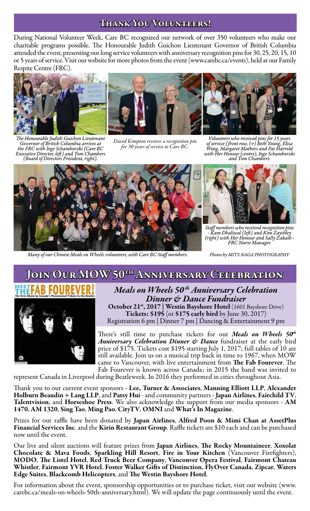### Thank You Volunteers!

During National Volunteer Week, Care BC recognized our network of over 350 volunteers who make our charitable programs possible. The Honourable Judith Guichon Lieutenant Governor of British Columbia attended the event, presenting our long service volunteers with anniversary recognition pins for 30, 25, 20, 15, 10 or 5 years of service. Visit our website for more photos from the event (www.carebc.ca/events), held at our Family Respite Centre (FRC).







*The Honourable Judith Guichon Lieutenant Governor of British Columbia arrives at the FRC with Inge Schamborzki (Care BC Executive Director, left) and Tom Chambers (Board of Directors President, right).*

*David Kimpton receives a recognition pin for 30 years of service to Care BC.*

*Volunteers who received pins for 15 years of service (front row, l-r) Beth Young, Elisa Wong, Margaret Mathers and Pat Harrold with Her Honour (centre), Inge Schamborzki and Tom Chambers.*



*Many of our Chinese Meals on Wheels volunteers, with Care BC Staff members. Photos by MITS NAGA PHOTOGRAPHY*



*Staff members who received recognition pins - Kam Dhaliwal (left) and Kim Zayshley (right) with Her Honour and Sally Zakaib - FRC Nurse Manager.*

### JOIN OUR MOW 50TH ANNIVERSARY CELEBRATION



*Meals on Wheels 50 th Anniversary Celebration Dinner & Dance Fundraiser* October 21<sup>st</sup>, 2017 | Westin Bayshore Hotel (1601 Bayshore Drive) Tickets: \$195 (or \$175 early bird by June 30, 2017) Registration 6 pm | Dinner 7 pm | Dancing & Entertainment 9 pm

There's still time to purchase tickets for our *Meals on Wheels 50th Anniversary Celebration Dinner & Dance* fundraiser at the early bird price of \$175. Tickets cost \$195 starting July 1, 2017; full tables of 10 are still available. Join us on a musical trip back in time to 1967, when MOW came to Vancouver, with live entertainment from The Fab Fourever. The Fab Fourever is known across Canada; in 2015 the band was invited to

represent Canada in Liverpool during Beatleweek. In 2016 they performed in cities throughout Asia.

Thank you to our current event sponsors - Lee, Turner & Associates, Manning Elliott LLP, Alexander<br>Holburn Beaudin + Lang LLP, and Patsy Hui - and community partners - Japan Airlines, Fairchild TV, Talentvision, and Horseshoe Press. We also acknowledge the support from our media sponsors - AM 1470, AM 1320, Sing Tao, Ming Pao, CityTV, OMNI and What's In Magazine.

Prizes for our raffle have been donated by Japan Airlines, Alfred Poon & Mimi Chan at AssetPlus Financial Services Inc. and the Kirin Restaurant Group. Raffle tickets are \$10 each and can be purchased now until the event.

Our live and silent auctions will feature prizes from Japan Airlines, The Rocky Mountaineer, Xoxolat Chocolate & Mava Foods, Sparkling Hill Resort, Fire in Your Kitchen (Vancouver Firefighters), MODO, The Listel Hotel, Red Truck Beer Company, Vancouver Opera Festival, Fairmont Chateau Whistler, Fairmont YVR Hotel, Foster Walker Gifts of Distinction, FlyOver Canada, Zipcar, Waters Edge Suites, Blackcomb Helicopters, and The Westin Bayshore Hotel.

For information about the event, sponsorship opportunities or to purchase ticket, visit our website (www. carebc.ca/meals-on-wheels-50th-anniversary.html). We will update the page continuously until the event.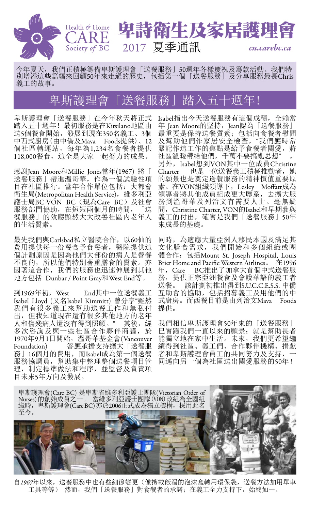

## 卑詩衛生及家居護理 2017 夏季通訊 *cn.carebc.ca*

今年夏天,我們正積極籌備卑斯護理會「送餐服務」50週年各樣慶祝及籌款活動。我們特 別增添這些篇幅來回顧50年來走過的歷史,包括第一個「送餐服務」及分享服務最長Chris 義工的故事。

## 卑斯護理會「送餐服務」踏入五十週年!

卑斯護理會「送餐服務」在今年秋天將正式 踏入五十週年!最初服務是在Kitsilano地區由 送5個餐食開始,發展到現在350名義工、3個 中西式廚房(由中僑及Mava Foods提供)、12 個社區轉運站,每年為1,234名食餐者提供 118,000餐食,這全是大家一起努力的成果。

感謝Jean Moore和Millie Jones當年(1967) 將「 送餐服務」帶進溫哥華,作為一個試驗性項 目在社區推行。當年合作單位包括:大都會 衛生局(Metropolitan Health Service),維多利亞 護士局BC-VON BC(現為Care BC)及社會 服務部門協助,在短短兩個月的時間,「送 餐服務」的效應顯然大大改善社區內老年人 的生活質素。

最先我們與Carlsbad私立醫院合作, 以60仙的 費用提供每一份餐食予食餐者,醫院提供這 個計劃原因是因為他們大部份的病人是營養 不良的,所以他們特別著重膳食的質素。亦 因著這合作,我們的服務也迅速伸展到其他 地方包括 Dunbar / Point Gray和West End等。

到1969年初,West End其中一位送餐義工 Isabel Lloyd (又名Isabel Kimmitt) 曾分享"雖然 我們有很多義工來幫助送餐工作和無私付 出,但我知道現在還有很多其他地方的老年 人和傷殘病人還沒有得到照顧。" 其後, 經 多次咨詢及與一些社區合作夥伴商議,於 1970年9月1日開始,溫哥華基金會(Vancouver Foundation) 答應承擔支持擴大「送餐服 務」16個月的費用,而Isabel成為第一個送餐 服務協調員,幫助集中整理整個送餐項目管 理,制定標準做法和程序,並監督及負責項 目未來5年方向及發展。

Isabel指出今天送餐服務有這個成積,全賴當 年 Jean Moore的堅持, Jean認為「送餐服務」 最重要是保持送餐質素;包括向食餐者慰問 及幫助他們作家居安全檢查,"我們應時常 緊記作這工作的焦點是給予食餐者關愛, 將 社區溫暖帶給他們,千萬不要搞亂思想" 另外,Isabel想到VON其中一位成員Christine<br>Charter 也是一位送餐義工積極推動者,她 也是一位送餐義工積極推動者,她 的願景也是奠定送餐服務的精神價值重要原 素。在VON組織領導下,Lesley Moffatt成為 領導者將其他成員組成更大聯系,去擴大服 務到溫哥華及列治文有需要人士。毫無疑 問,Christine Charter, VON的Isabel和早期參與 義工的付出,確實是我們「送餐服務」50年 來成長的基礎。

同時,為適應大量亞洲人移民本國及滿足其 文化膳食需求,我們開始和多個組織或團 體合作;包括Mount St. Joseph Hospital, Louis Brier Home and Pacific Western Airlines。 在1996<br>年, Care BC推出了加拿大首個中式送餐服 BC推出了加拿大首個中式送餐服 務,提供正宗亞洲餐食及會說華語的義工者<br>送餐。 該計劃初推出得到S.U.C.C.E.S.S. 中僑 該計劃初推出得到S.U.C.C.E.S.S. 中僑 互助會的協助,包括招募義工及用他們的中 式廚房。而西餐目前是由列治文Mava Foods 提供。

我們相信卑斯護理會50年來的「送餐服務」 巳實踐我們一直以來的願景;就是幫助長者 能獨立地在家中生活。未來,我們更希望繼 續得到社區、義工們、合作夥伴機構、捐獻 者和卑斯護理會員工的共同努力及支持, 同邁向另一個為社區送出關愛服務的50年!



自*1967*年以來,送餐服務中也有些細節變更(像攜載飯湯的泡沫盒轉用環保袋,送餐方法加用單車 工具等等) 然而,我們「送餐服務」對食餐者的承諾;在義工全力支持下,始終如一。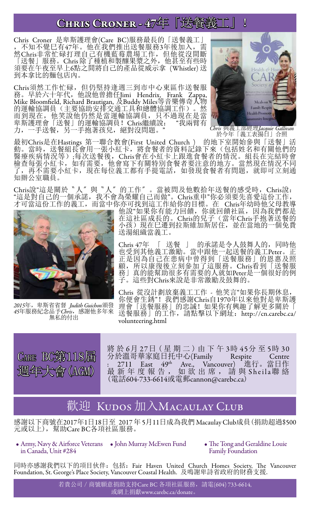## CHRIS CRONER - 47年「送餐義工」!

Chris Croner 是卑斯護理會(Care BC)服務最長的「送餐義工」 ,不知不覺巳有47年。他在我們推出送餐服務3年後加入,需 然Chris非常忙碌打理自己有機藍莓農場工作,但他從沒間斷 「送餐」服務。Chris 除了種植和製釀果漿之外,他甚至有些時 須要在午夜至早上6點之間將自己的產品從威示拿 (Whistler) 送 到本拿比的麵包店內。

Chris須然工作忙碌,但仍堅持逢週三到市中心東區作送餐服 務。早於六十年代,他說他曾擔任Jimi Hendrix, Frank Zappa, Mike Bloomfield, Richard Brautigan, 及Buddy Miles等音樂傳奇人物 的運輸協調員(主要協助安排交通工具和總體協調工作)。然 而到現在,他笑說他仍然是當運輸協調員,只不過現在是當 卑斯護理會「送餐」的運輸協調員!Chris繼續說: "我兩臂有 力,一手送餐,另一手抱著孩兒,絕對沒問題。



*Chris* 與義工部經理*Jacquie Gallivan* 於今年「義工表揚日」合照

最初Chris是在Hastings 第一聯合教會(First United Church ) 的地下室開始參與「送餐」活 動。當時,送餐組長會用一張小紅卡,將食餐者的資料記錄下來(包括姓名和有關他們的 醫療疾病情況等);每次送餐後,Chris會在小紅卡上跟進食餐者的情況。組長在完結時會 檢查每張小紅卡,如有需要,他會寫下有關特別食餐者要注意的地方。當然現在情況不同 了,再不需要小紅卡,現在每位義工都有手提電話,如發現食餐者有問題,就即可立刻通 知辦公室職員。

Chris說"這是關於〝人〞與〝人〞的工作〞。當被問及他數拾年送餐的感受時, Chris說: "這是對自己的一個承諾,我不會為榮耀自己而做"。Chris重申"你必須要先喜愛這份工作, 才可當這份工作的義工,而當中你亦可找到這工作給你的目標。在 Chris年幼時他父母教導



*2015*年,卑斯省省督 *Judith Guichon*頒發 *45*年服務紀念品予*Chris*,感謝他多年來 無私的付出

他說"如果你有能力回饋,你就回饋社區,因為我們都是 在這社區成長的。Chris的兒子(當年Chris手抱著送餐的 小孩)現在已遷到拉斯維加斯居住,並在當地的一個免費 送湯組織當義工。

Chris 47年 〔 送餐 〕 的承諾是令人鼓舞人的,同時他 也受到其他義工激勵。當中跟他一起送餐的義工Peter。正 正是因為自己在患病中曾得到「送餐服務」的恩惠及照 顧,所以康復後立刻參加了這服務。Chris看到「送餐服 務」真的能幫助很多有需要的人就如Peter是一個很好的例 子。這些對Chris來說是非常激勵及鼓舞的。

Chris 從沒計劃放棄義工工作 - 他笑言"如果你長期休息, 你便會生銹"!我們感謝Chris自1970年以來他對是卑斯護 理會「送餐服務」的忠誠!如果你有興趣了解更多關於「 送餐服務」的工作,請點擊以下網址:http://cn.carebc.ca/ volunteering.html



將 於 6月 27日 (星 期 二) 由 下 午 3時 45分 至 5時 30<br>分於溫哥華家庭日托中心(Family Respite Centre 分於溫哥華家庭日托中心(Family Respite Centre : 2711 East 49<sup>th</sup> Ave., Vancouver) 進行。當日作 最新年度報告, 如欲出席, 請與 Sheila聯絡 ·最新年度報告, 如欲出席, 請與<br>(電話604-733-6614或電郵cannon@carebc.ca)

## 歡迎 KUDOS 加入MACAULAY CLUB

感謝以下商號在2017年1日18日至 2017 年 5月11日成為我們 Macaulay Club成員(捐助超過\$500 元或以上),幫助Care BC各項社區服務。

- Army, Navy & Airforce Veterans John Murray McEwen Fund in Canada, Unit #284
- The Tong and Geraldine Louie Family Foundation

同時亦感謝我們以下的項目伙伴: 包括: Fair Haven United Church Homes Society, The Vancouver Foundation, St. George's Place Society, Vancouver Coastal Health. 及鳴謝卑詩省政府的財務支援.

> 若貴公司 / 商號願意捐助支持Care BC 各項社區服務, 請電(604) 733-6614, 或網上捐獻www.carebc.ca/donate。